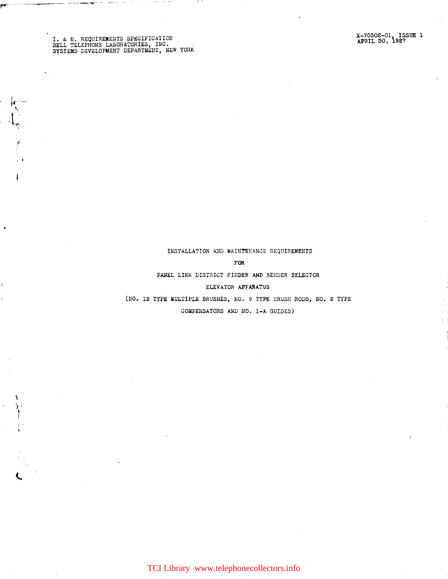I. & M. REQUIREMENTS SPECIFICATION<br>BELL TELEPHONE LABORATORIES, INC.<br>SYSTEMS DEVELOPMENT DEPARTMENT, NEW YORK

大学

 $\mathbf{I}$ 

狂しがく

## INSTALLATION AND MAINTENANCE REQUIREMENTS

### $\mathbf{FOR}$

PANEL LINK DISTRICT FINDER AND SENDER SELECTOR

# ELEVATOR APPARATUS

(NO. 12 TYPE MULTIPLE BRUSHES, NO. 9 TYPE BRUSH RODS, NO. 2 TYPE

COMPENSATORS AND NO. 1-A GUIDES)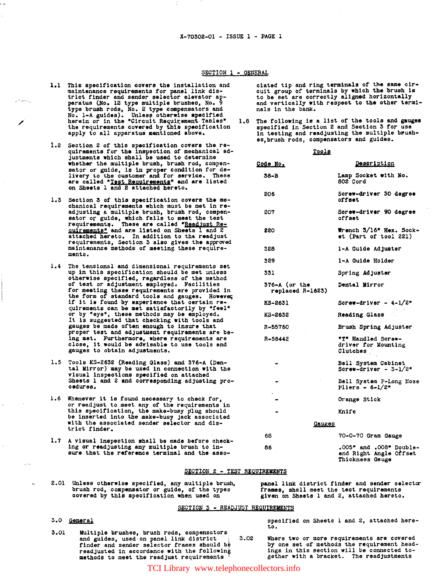### SECTION 1 - GENERAL

- 1.1 This specification covers the installation and This specification covers the installation and<br>maintenance requirements for panel link dis-<br>trict finder and sender selector elevator<br>peratus (No. 12 type multiple brushes, No. 9<br>type brush rods, No. 2 type compensators an the requirements covered by this specification apply to all apparatus mentioned above.
- 1.2 Section 2 of this specification covers the re-<br>quirements for the inspection of mechanical ad-<br>justments which shall be used to determine whether the multiple brush, brush rod, compensation or guide, is in proper condition for de-<br>livery to the customer and for service. These<br>are called "<u>Test Requirements</u>" and are listed<br>on Sheets 1 and 2 attached hereto.
- 1.3 Section 3 of this specification covers the mechanical requirements which must be met in readjusting a multiple brush, brush rod, compensator or guide, which fails to meet the test<br>requirements. These are called "Readjust Re-<br>quirements" and are listed on Sheets 1 and 2<br>attached hereto. In addition to the readjust<br>requirements, Section 3 also gives the app maintenance methods of meeting these requirements.
- 1.4 The tensional and dimensional requirements set up in this specification should be met unless otherwise specified, regardless of the method<br>of test or adjustment employed. Facilities or westing these requirements are provided in<br>the form of standard tools and gauges. However,<br>if it is found by experience that oertain re-<br>quirements can be met satisfactorily by "feel" or by "eye", these methods may be employed. It is suggested that checking with tools and gauges be made often enough to insure that proper test and adjustment requirements are being met. Furthermore, where requirements are<br>close, it would be advisable to use tools and<br>gauges to obtain adjustments.
- 1.5 Tools KS-2632 (Reading Glass) and 376-A (Dental Mirror) may be used in connection with the visual inspections specified on attached Sheets 1 and 2 and corresponding adjusting procedures.
- 1.6 Whenever it is found necessary to check for, or readjust to meet any of the requirements in this specification, the make-busy plug should be inserted into the make-busy jack associated with the associated sender selector and district finder.
- 1.7 A visual inspection shall be made before checking or readjusting any multiple brush to insure that the reference terminal and the asso-

ciated tip and ring terminals of the same circuit group of terminals by which the brush is to be set are correctly aligned horizontally and vertically with respect to the other terminals in the bank.

The following is a list of the tools and gauges<br>specified in Section 2 and Section 3 for use  $1.8$ in testing and readjusting the multiple brushes, brush rods, compensators and guides.

 $max1$ 

| <u>10018</u>                          |                                                                      |
|---------------------------------------|----------------------------------------------------------------------|
| Code No.                              | <b>Description</b>                                                   |
| 38-B                                  | Lamp Socket with No.<br>802 Cord                                     |
| 206                                   | Screw-driver 30 degree<br>offset                                     |
| 207                                   | Screw-driver 90 degree<br>offset                                     |
| 220                                   | Wrench 3/16" Hex. Sock-<br>et (Part of tool 221)                     |
| 328                                   | 1-A Guide Adjuster                                                   |
| 329                                   | 1-A Guide Holder                                                     |
| 331                                   | Spring Adjuster                                                      |
| $376 - A$ (or the<br>replaced R-1623) | <b>Dental Mirror</b>                                                 |
| KS-2631                               | Screw-driver - $4-1/2"$                                              |
| KS-2632                               | <b>Reading Glass</b>                                                 |
| R-55760                               | Brush Spring Adjuster                                                |
| R-58442                               | "T" Handled Screw-<br>driver for Mounting<br>Clutches                |
|                                       | Bell System Cabinet<br>Screw-driver - $3-1/2$ "                      |
|                                       | Bell System P-Long Nose<br>Pliers - $6-1/2$ *                        |
|                                       | Orange Stick                                                         |
|                                       | Knife                                                                |
| Gauges                                |                                                                      |
| 68                                    | 70-0-70 Gram Gauge                                                   |
| 86                                    | .005" and .008" Double-<br>end Right Angle Offset<br>Thickness Gauge |

### SECTION 2 - TEST REQUIREMENTS

2.01 Unless otherwise specified, any multiple brush, brush rod, compensator or guide, of the types<br>covered by this specification when used on

panel link district finder and sender selector frames, shall meet the test requirements given on Sheets 1 and 2, attached hereto.

### SECTION 3 - READJUST REQUIREMENTS

 $3.02$ 

# 3.0 General

3.01 Multiple brushes, brush rods, compensators and guides, used on panel link district finder and sender selector frames should be readjusted in accordance with the following methods to meet the readjust requirements

specified on Sheets 1 and 2, attached hereto.

Where two or more requirements are covered by one set of methods the requirement headings in this section will be connected together with a bracket. The readjustments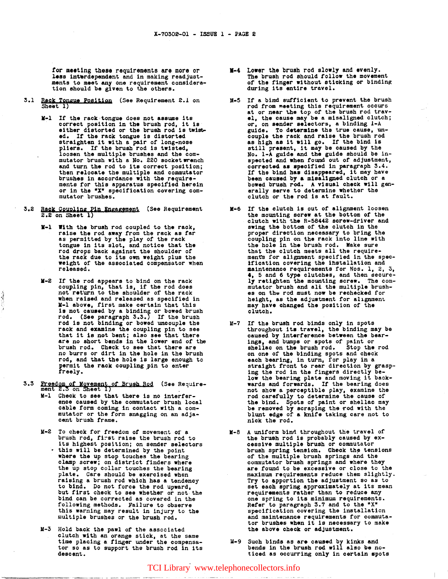tor meeting these requirements are more or less interdependent and in making readjustments to meet any one requirement consideration should be given to the others.

- 3.1 Rack Tongue Position (See Requirement 2.1 on Sheet 1)
	- M-1 If the rack tongue does not assume its It the rack tongue does not assume its<br>correct position in the brush rod, it is<br>either distorted or the brush rod is twisted. If the rack tongue is distorted<br>straighten it with a pair of long-nose<br>pliers. If the brush rod is twisted, loosen the multiple brushes and the com-<br>mutator brush with a No. 220 socket wrench and turn the rod to its correct position;<br>then relocate the multiple and commutator<br>brushes in accordance with the requirements for this apparatus specified herein or in the "X" specification covering commutator brushes.
- 3.2 Rack Coupling Pin Engagement (See Requirement 2.2 on Sheet 1)
	- K-1 With the bruab rod coupled to the rack, raise the rod away from the rack as far<br>as permitted by the play of the rack tongue in its slot, and notice that the rod drops back against the shoulder of the rack due to its own weight plus the weight of the associated compensator when released.
	- M-2 If the rod appears to bind on the rack coupling pin, that is, if the rod does not return to the shoulder of the rack when raised and released as specified in K-1 above, tirst make certain that this is not caused by a binding or bowed brush rod. (See paragraph 3.3.) If the brush rod is not binding or bowed uncouple the rack and examine the coupling pin to see that it is not bent; also see that there are no short bends in the lower end of the brush rod. Check to see that there are no burrs or dirt in the hole in the brush rod, and that the hole is large enough to permit the rack coupling,pin to enter freely.

!

- 3.3 Freedom of Movement of Brush Rod (See Require-<br>ment 2.3 on Sheet 1)
	- M-1 Check to see that there is no interference caused by the commutator brush local cable form coming in contact with a commutator or the form snagging on an adjacent brush frame.
	- M-2 To check for freedom of movement of a brush rod, first raise the brush rod to Its highest position; on sender selectors<br>• this will be determined by the point<br>where the up stop touches the bearing<br>clamp screw; on district finders where<br>the up stop collar touches the bearing plate. Care should be exercised when raising a brush rod Which has a tendency to bind. Do not force the rod upward, but first check to see whether or not the bind can be corrected as covered in the following methods. Failure to observe this warning may result in injury to the multiple brushes or the brush rod.
	- U-3 Hold back the pawl of the associated clutch with an orange stick, at the same time placing a finger under the compensator so as to support the brush rod in its descent.
- V•4 Lower the brush rod slowly and evenly. The brush rod should rollow the movement of the finger without sticking or binding during its entire travel.
- 11-5 It a bind sufficient to prevent the brush rod from meeting this requirement occurs<br>at or near the top of the brush rod travel, the cause may be a misaligned clutch; or, on sender selectors, a binding l-A guide. To determine the true cause, un-couple the rack and raise the brush rod as high as it will go. If the bind is still present, it may be caused by the No. 1-A guide and the guide should be inspected and when fowid out of adjustment, corrected as specified in paragraph 3.4. corrected as specified in paragraph  $3.4$ .<br>If the bind has disappeared, it may have<br>been caused by a misaligned clutch or a bowed brush rod. A visual cheek will gen- erally serve to determine whether the clutch or the rod is at fault.
- M•6 If the clutch is out of alignment loosen the mounting screw at the bottom of the clutch with the R-58442 screw-driver and swing the bottom of the clutch in the proper direotion necessary to bring the coupling pin on the rack into line with the hole in the brush rod. Make sure that the clutch.meets all the require ments for alignment specified in the spec-<br>ification covering the installation and maintenance requirements for Nos. 1, 2, 3,  $\ddot{\bullet}$ , 5 and 6 type clutches, and then securely retighten the mounting screw. The com-mutator brush and all the multiple brushes on the rod must now be rechecked for height, as the adjustment for alignment may have changed the position or the clutch.
- 14-7 If the brush rod binds only in spots throughout its travel, the binding may be caused by interference between the bearings, and bwnps or spots of paint or shellac on the brush rod. Stop the rod on one of the binding spots and check each bearing, in turn, for play in a straight front to rear direction by grasp-<br>ing the rod in the fingers directly being the rod in the lingers directly be-<br>low the bearing plate and moving it backwards and forwards. It the bearing does not show a perceptible play, examine the rod carefully to determine the cause of the bind. Spots of paint or shellac may be removed by scraping the rod with the be removed by scraping the rod with the blunt edge of a knife taking care not to nick the rod.
- M-8 A uniform bind throughout the travel of the brush rod is probably caused by excessive multiple brush or commutator brush spring tension. Check the tensions<br>of the multiple brush springs and the commutator brush springs and where they are found to be excessive or close to the maximum requirements reduce them slightly. Try to apportion the adjustment so as to set each spring approximately at its mean requirements rather than to reduce any one spring to its minimum requirements.<br>Refer to paragraph 3.7 and to the "X" specification covering the installation and maintenance requirements for commutator brushes when it is necessary to make the above check or adjustment.
- 11-9 Such binds as are caused by kinks and bends in the brush rod will also be noticed as occurring only in certain spots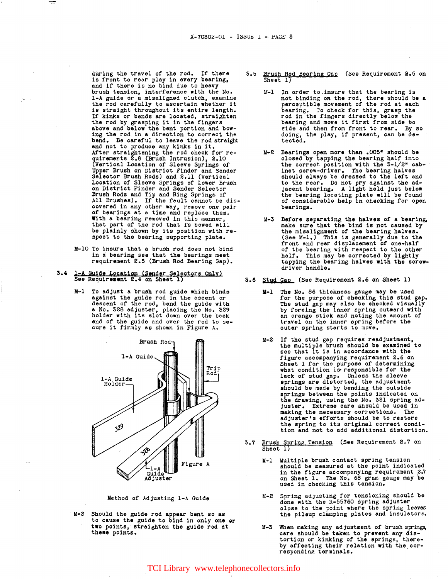during the travel of the rod. If there  $3.5$  Brush Rod Bearing Gap (See Requirement 2.5 on is front to rear play in every bearing,  $\frac{1}{\text{Sheet 1}}$  and if there is no bind due to heavy brush tension, interference with the No. 1-A guide or a misaligned clutch, examine the rod carefully to ascertain whether it<br>is straight throughout its entire length. If kinks or bends are located, straighten the rod by grasping it in the fingers above and below the bent portion and bowing the rod in a direction to correct the bend. Be careful to leave the rod straight and not to produce any kinks in it.<br>After straightening the rod check for re-After straightening the rod check for re-<br>quirements 2.8 (Brush Intrusion), 2.10 (Vertical Location of Sleeve Springs of Upper Brush on District Finder and Sender Selector Brush Rods) and 2.11 (Vertical Location of Sleeve Springs of Lower Brush on District Finder and Sender Selector Brush Rods and Tip and Ring Springs of All Brushes). If the fault cannot be discovered in any other way, remove one pair of bearings at a time and replace them. With a bearing removed in this manner, that part of the rod that i's bowed will be plainly shown by its position with re-<br>spect to the bearing supporting plate.

- M-10 To insure that a brush rod does not bind in a bearing see that the bearings meet requirement 2.5 (Brush Rod Bearing Gap).
- 3.4 1-A Guide Location (Sender Selectors Only)<br>See Requirement 2.4 on Sheet 1)
	- M-1 To adjust a brush rod guide which binds against the guide rod in the ascent or<br>descent of the rod, bend the guide with<br>a No. 328 adjuster, placing the No. holder with its slot down over the back end of the guide and over the rod to se- cure it firmly as shown in Figure A.



Method of Adjusting 1-A Guide

M-2 Should the guide rod appear bent so as to cause the guide to bind in only one or two points, straighten the guide rod at these points.

- - M-1 In order to.insure that the bearing is not binding on the rod, there should be a perceptible movement of the rod at each bearing. To check for this, grasp the rod in the fingers directly below the bearing and move it first from side to side and then from front to rear. By so doing, the play, if present, can be de-<br>tected.
	- M-2 Bearings open more than .005\* should be closed by tapping the bearing half into the correct. position with the 3-1/2• cabinet screw-driver. The bearing halves should always be dressed to the left and to the rear. Do not pry against the adjacent bearing. A light held just below the bearing locating plate will be found of considerable help in checking for open bearings.
	- M-3 Before separating the halves of a bearing. make sure that the bind is not caused by the misalignment of the bearing halves. (See M-1.) This is generally due to the front and rear displacement of one-half of the bearing with respect to the other half. This may be corrected by lightly tapping the bearing halves with the screw-driver handle.
- 3.6 Stud Gap (See Requirement 2.6 on Sheet 1)
	- M-1 The No. 86 thickness gauge may be used for the purpose of checking this stud gap. The stud gap may also be checked visually travel on the :inner spring before the outer spring starts to move.
	- M-2 If the stud gap requires readjustment,<br>the multiple brush should be examined to<br>see that it is in accordance with the<br>figure accompanying requirement 2.6 on figure accompanying requirement 2.6 on Sheet l for the purpose of determining what condition is•responsible for the lack of stud gap. Unless the sleeve springs are distorted, the adJustment should be made by bending the outside<br>springs between the points indicated on springs between the points indicated on the drawing, using the No. 331 spring adjuster. Extreme care should be used in making the necessary corrections. The adjuster's efforts should be to restore the spring to its original correct condition and not to add additional distortion.
- (See Requirement 2,7 on  $3.7$ Brush Spring Tension<br>Sheet 1)
	- K-1 Multiple brush contact spring tension should be measured at the point indicated in the figure accompanying requirement 2.7<br>on Sheet 1. The No. 68 gram gauge may be used in checking this tension.
	- M-2 Spring adjusting for tensioning should be done with the R-55760 spring adjuster<br>close to the point where the spring leaves close to the point where the spring leaves the pileup clamping plates and insulators.
	- M-3 When making any adjustment of brush springs, care should be taken to prevent any distortion or kinking of the springs, thereby affecting their relation with the cor-<br>responding terminals.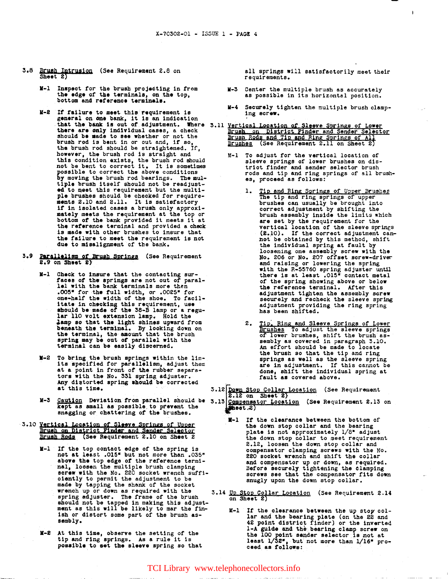- 3.8 Brush Intrusion (See Requirement 2.8 on Sheet  $2$ )
	- •-1 Inspect for the brush projecting in trom the edge of the terminals, on the top, bottom and reference terminals.
	- **H-2** If failure to meet this requirement is It failure to meet this requirement is<br>general on one bank, it is an indication<br>that the bank is out of adjustment. Where there are only individual cases, a check should be made to see whether or not the brush rod is bent in or out and, if so, the brush rod should be straightened. If, the brush rod should be straightened. If, however, the brush rod is straight and this condition exists, the brush rod should not be bent to correct it. It is sometimes possible to correct the above conditions by moving the brush rod bearings. The multiple brush itself should not be readjusted to meet this requirement but the multi-<br>ple brushes should be checked for require-<br>ments 2.10 and 2.11. It is satisfactory if in isolated cases a brush only approxi-<br>mately meets the requirement at the top or<br>bottom of the bank provided it meets it at<br>the reference terminal and provided a check is made with other brushes to insure that the failure to meet the requirement is not due to misalignment of the bank.
- Parallelism of Brush Springs (See Requirement<br>2.9 on Sheet 2)
	- •-1 Check to 1neure that the contacting sur• tacee *ot* the aprings are not out of' paral- lel with the bank terminals more then .005• for the tull width, or .0025• for one-half the width or the shoe. To facilitate in checking this requirement, use should be made of the 38-B lamp or a regu-<br>lar 110 volt extension lamp. Hold the lamp so that the light shines upward from beneath the terminal. By looking down on the terminal, the amount that the brush spring may be out of parallel with the terminal can be easily discerned.
	- M-2 To bring the brush springs within the limits specified for parallelism, adjust them at a point in front of the rubber separators with the No. 331 spring adjuster. Any distorted spring should be corrected at this time.
	- kept as small as possible to prevent the<br>snagging or chattering of the brushes.
- 3.10 Yertical Location of Sleeve Springs of Upper :<br>Brush on District Finder and Sender Selector<br>Brush Rods (See Requirement 2.10 on Sheet 2
	- I-1 If the top contact edge of the spring is not at least .015<sup>\*</sup> but not more than .035<sup>\*</sup> above the top edge of the reference termi-<br>nal, loosen the multiple brush clamping above the top edge of the reference termi-<br>nal, loosen the multiple brush clamping<br>screw with the No. 220 socket wrench suffi-<br>olently to permit the adjustment to be made by tapping the shank of the socket wrench up or down as required with the spring adjuster. The frame of the brush should not be tapped in making this adjust-<br>ment as this will be likely to mar the finish or distort some part of the brush as- sembly.
	- ••2 At this time, observe the setting or the At this time, observe the setting of the setting of the setting of the setting of the setting of the setting of the setting of the setting of the setting of the setting of the setting of the setting of the setting of the s possible to set the sleeve spring so that

all springs will satisfactorily meet their requirements.

 $\mathbf{I}$ 

- Center the multiple brush as accurately as possible in its horizontal position.
- •~4 Securely tighten the multiple brush clamp- ing screw.
- Brush Rods and Tip and Ring Springs of All<br><u>Brushes</u> (See Requirement 2.11 on Sheet 2)
	- M-1 To adjust for the vertical location of sleeve springs or lower brushes on district finder and sender selector brush rods and tip and ring springs of all brushes, proceed as follows:
		- 1. Tip and Ring Springs of Upper Brushes<br>The tip and ring springs of upper<br>brushes can usually be brought into correct adjustment by shifting the brush assembly inside the limits which are set by the requirement for the are set by the requirement for the<br>vertical location of the sleeve springs<br>(2.10). If the correct adjustment cannot be obtained by this method, shift the individual spring at fault by the individual spring at fault by loosening one assembly screw with the No. 206 or No. 207 offset screw-driver and raising or lowering the spring with the B-55760 spring adjuster until there is at least .015<sup>\*</sup> contact metal of the spring showing above or below the reference terminal. After this<br>adjustment tighten the assembly screw securely and recheck the sleeve spring adjustment providing the ring spring has been shifted.
		- 2. The Ring and Sleeve Springs of Lower brushes, control and serves springs of lower brushes, shift the brush assembly as covered in paragraph 3.10. An effort should be made to locate<br>the brush so that the tip and ring springs as well as the sleeve spring<br>are in adjustment. If this cannot be done, shift the individual spring at fault as covered above.
- Caution Deviation trom parallel should be kept as mall as poaaible.toptevent the 3 •. 12,:A!P Stop Coll![ Lgcation {See Requirement 2.U on Sheet 2) · 3.13 C.ompensator t.octtion (See Requirement 2.13 on .. Ht.-2) .
	- - K•l If the clearance between the bottom of the down stop collar and the bearing plate is not approximately  $1/8^*$  adjust the down stop collar to meet requirement 2.12, loosen the down stop collar and 2.12, loosen the down stop collar and compensator clamping screws with the No. 220 socket wrench and shift the collar and compensator up or down, as required. Before securely tightening the clamping screws see that the compensator tits down snugly upon the down stop collar.
	- 3.14 Up Stop Collar Location (See Requirement 2.14 on Sheet 2)
		- M-l If the clearance between the up stop collar and the bearing plate (on the 22 and 42 point district finder) or the inverted 1-A guide and the bearing clamp screw on the 100 point sender selector is not at least 1/32\*, but not more than 1/16\* pro-<br>ceed as follows: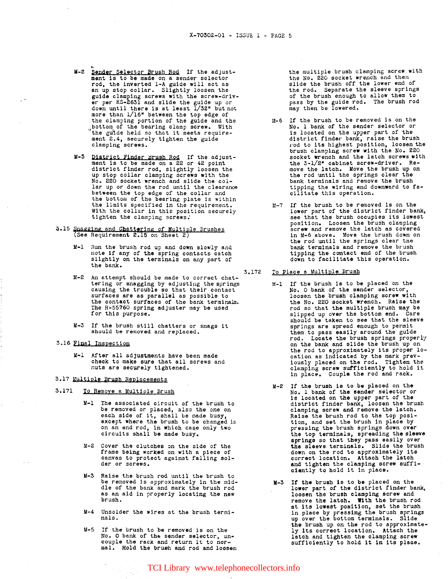- M-2 Sender Selector Brush Rod If the adjustment is to be made on a sender selector rod, the inverted 1-A guide will act as<br>an up stop collar. Slightly loosen the<br>guide clamping screws with the screw-driver per KS-2631 and slide the guide up or down until there is at least 1/32" but not the clamping portion of the guide and the , bottom of the bearing clamp screw. With the guide held so that it meets requirement 2.4. securely tighten the guide clamping screws.
- M-3 District Finder Brush Rod If the adjustment is to be made on a 22 or 42 point district finder rod, slightly loosen the up stop collar clamping screws with the No. 220 socket wrench and slide the collar up or down the rod until the clearance between the top edge of the collar and the bottom of the bearing plate is within the limits specified in the requirement.<br>With the collar in this position securely tighten the clamping screws."
- 3.15 Snagging and Chattering of Multiple Brushes (See Requirement 2.15 on Sheet 2)
	- Run the brush rod up and down slowly and note if any of the spring contacts catch slightly on the terminals on any part of the bank.
	- M-2 An attempt should be made to correct chattering or snagging by adjusting the springs causing the trouble so that their contact surfaces are as parallel as possible to the contact surfaces of the bank terminals. The R-55760 spring adjuster may be used for this purpose.
	- M-3 If the brush still chatters or snags it should be removed and replaced.
- 3.16 Final Inspectipn
	- M-1 After all adjustments have been made check to make sure that all screws and nuts are securely tightened.

### 3.17 Multiple Brush Replacements

- 3.171 To Remove a Multiple Brush
	- M-1 The associated circuit of the brush to be removed or placed, also the one on<br>each side of it, shall be made busy, except where the brush to be changed is on an end rod, in which case only two on an end rod, in which case only two<br>circuits shall be made busy.
	- M-2 Cover the clutches on the side of the frame being worked on with a piece of canvas to protect against falling solder or screws.
	- M-3 Raise the brush rod until the brush to be removed is approximately in the mid-<br>dle of the bank and mark the brush rod as an aid in properly locating the new brush.
	- M-4 Unsolder the wires at the brush terminals.
	- M-5 If the brush to be removed is on the No. O bank of the sender selector, un-<br>couple the rack and return it to nor- mal. Hold the brush and rod and loosen

the multiple brush clamping screw with the No. 220 socket wrench and then slide the brush off the lower end of the rod. Separate the sleeve springs of the brush enough to allow them to pass by the guide rod. The brush rod may then be lowered.

- M-6 If the brush to be removed is on the No. 1 bank of the sender selector or is located on the upper part of the is located on the upper part of the<br>district finder bank, raise the brush rod to its highest position, loosen the brush clamping screw with the No. 220 socket wrench and the latch screws with<br>the 3-1/2" cabinet screw-driver. Remove the latch. Move the brush up on the rod until the springs clear the bank terminals and remove the brush tipping the wiring end downward to facilitate this operation.
- M-7 If the brush to be removed is on the lower part of the district finder bank, lower part of the district finder bank. see that the brush occupies its lowest position. Loosen the brush clamping screw and remove the latch as covered in M-6 above. Move the brush down on the rod until the springs clear tne bank terminals and remove the brush tipping the contact end of the brush down to facilitate this operation.
- 3.172 To Place a Multiple Brush
	- M-1 If the brush is to be placed on the No. O bank of the sender selector, loosen the brush clamping screw with the No. 220 socket wrench. Raise the rod so that the multiple brush may be slipped up over the bottom end. Care should be taken to see that the sleeve springs are spread enough to permit them to pass easily around the guide<br>rod. Locate the brush springs properly<br>on the bank and slide the brush up on<br>the rod to approximately its proper lo-<br>cation as indicated by the mark prevcation as indicated by the mark prev- iously placed on the rod. Tighten the clamping sorew sufficiently to hold it in place. Couple the rod and rack.
	- M-2 If the brush is to be placed on the No. 1 bank of the sender selector or No. 1 bank of the sender selector or is located on the upper part of the district finder bank, loosen the brush clamping screw and remove the latch. Raise the brush rod to the top posi-<br>tion, and set the brush in place by<br>pressing the brush springs down over<br>the top terminals, spreading the sleeve springs so that they pass easily over the sleeve terminals. Slide the brush down on the rod to approximately its<br>correct location. Attach the latch and tighten the clamping screw suffi-<br>ciently to hold it in place.
	- M-3 If the brush is to be placed on the lower part of the district finder bank, loosen the brush clamping screw and remove the latch. With the brush rod at its lowest position, set the brush in place by pressing the brush springs up over the bottom terminals. Slide the brush up on the rod to approximately its correct location. Attach the<br>latch and tighten the clamping screw sufficiently to hold it in its place.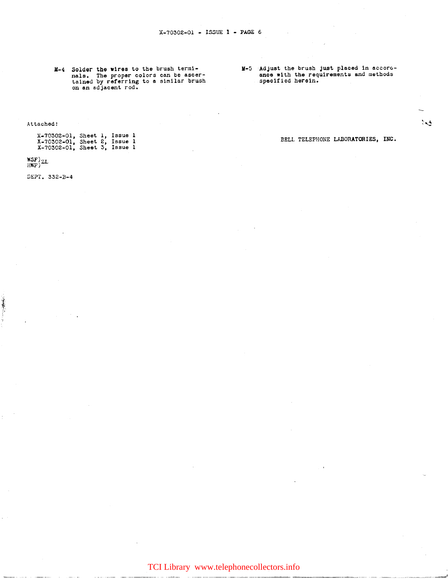M-4 Solder the wires to the brush terminals. The proper colors can be ascertained by referring to a similar brush on an adjacent rod. M-5 Adjust the brush just placed in accoroance with the requirements and methods specified herein.

Attached:

| $X-70302-01$ , Sheet 1, Issue 1<br>$X-70302-01$ , Sheet 2, Issue 1<br>$X-70302-01$ , Sheet 3, Issue 1 |  |  |
|-------------------------------------------------------------------------------------------------------|--|--|
|                                                                                                       |  |  |

BELL TELEPHONE LABORATORIES, INC.

 $\sim$ 

--- --------·- ---~··--'

WSF)zl<br>hwf)<sup>zl</sup>

DEPT. 332-B-4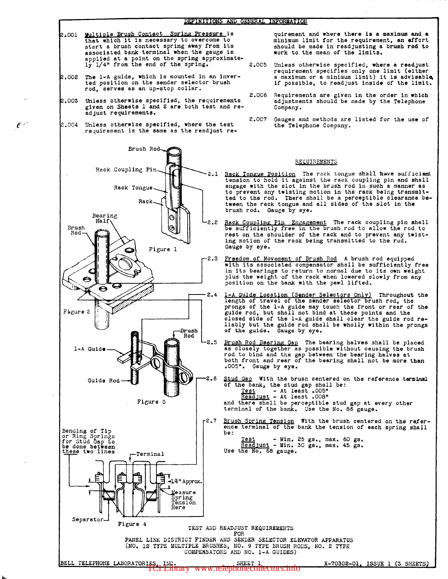- .001 Multiple Brush Contact Spring Pressure is that which it is necessary to overcome to start a brush contact spring away from its associated bank terminal when the gauge is applied at a point on the spring approximate-<br>ly 1/4" from the end of the spring. 2.005
- .002 The 1-A guide, which is mounted in an inverted position on the sender selector brush rod, serves as an up-stop collar.
- .003 Unless otherwise specified, the requirements given on Sheets 1 and 2 are both test and re- adjust requirements.
- .004 Unless otherwise specified, where the test requirement is the same as the readjust re-

 $\epsilon$  –

Brush Rod-Rack Coupling Pin Rack Tongue Rack Bearing Ó Half Brush Ġ Rod Figure l O  $\epsilon$  $\ddot{\boldsymbol{\Theta}}$  $\boldsymbol{\Theta}$ Figure 2 Brush Rod 1-A Gulde Guide Rod-Figure 3

Bending of Tip or Ring Springs<br>for Stud Gap to<br>be done between these two lines -Terminal



quirement and where there is a maximum and a minimum limit for the requirement, an effort should be made in readjusting a brush rod to work to the mean of the limits.

- Unless otherwise specified, where a readjust requirement specifies only one limit (either a maximum or a minimum limit) it is advisable, if possible, to readjust inside of the limit.
- 2.006 Requirements are given in the order in which adjustments should be made by the Telephone Company.
- 2.007 Gauges and methods are listed for the use of the Telephone Company.

#### REQUIREMENTS

2.1 Back Tongue Position The rack tongue shall have sufficient tension to hold it against the rack coupling pin and shall note the reack coupling for the rack coupling pin and shall engage with the slot in the brush rod in such a manner as to prevent any twisting motion in the rack being transmitted to the rod. There shall be a perceptible clearance be-<br>tween the rack tongue and all sides of the slot in the brush rod. Gauge by eye.

2.2 Rack Coupling Pin Engagement The rack coupling pin shall be sufficiently free in the brush rod to allow the rod to rest on the shoulder of the rack and to prevent any twisting motion of the rack being transmitted to the rod. Gauge by eye.

- 2.3 Freedom of Movement of Brush Rod A brush rod equipped with its associated compensator shall be sufficiently free in its bearings to return to normal due to its own weight plus the weight of the rack when lowered slowly from any position on the bank with the pawl lifted.
- 2.4 1-A Guide Location (Sender Selectors Only) Throughout the length of travel of the sender selector brush rod, the prongs of the 1-A guide may touch the front or rear of the guide rod, but shall not bind at these points and the closed side of the 1-A guide shall clear the guide rod reclosed side of the 1-A guide shall clear the guide rod re- liably but the guide rod shall be wholly within the prongs *or* the guide. Gauge by eye.
- 2.5 Brush Rod Bearing Gap The bearing halves shall be placed as closely together as possible without causing the brush rod to bind and the gap between the bearing halves at both rront and rear of the bearing shall not be more than .005•. Gauge by eye.

2.6 Stud Gap With the brush centered on the reference terminsl of the bank, the stud gap shall be:  $Test$  - At least .005" Readjust - At least .008" and there shall be perceptible stud gap at every other

- terminal of the bank. Use the No. 86 gauge.
- 2.7 Brush Spring Tension With the brush centered on the refer-<br>ence terminal of the bank the tension of each spring shall be:

Test - Min. 25 gs., max. 60 gs.<br>Readjust - Min. 30 gs., max. 45 gs.<br>Use the No. 68 gauge.

TEST AND READJUST REQUIREMENTS<br>FOR PANEL LINK DISTRICT FINDER AND SENDER SELECTOR ELEVATOR APPARATUS (NO. 12 TYPE MULTIPLE BRUSHES, NO. 9 TYPE BRUSH RODS, NO. 2 TYPE COMPENSATORS AND NO. 1-A GUIDES)

# BELL TELEPHONE LABORATORIES, INC. SHEET 1 X-70302-01, ISSUE 1 (3 SHEETS)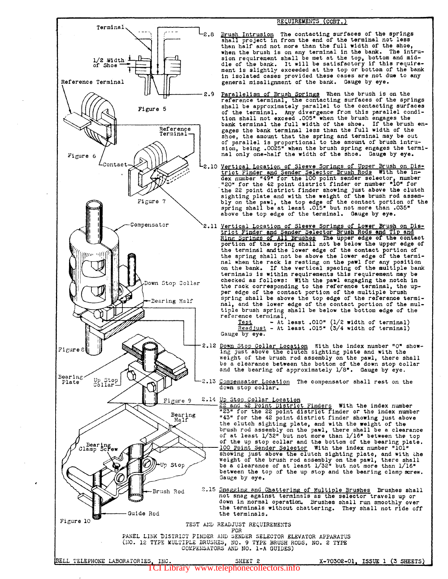

### REQUIREMENTS (CONT.)

**rightlength Intrusion** The contacting surfaces of the springs series of the springs shall project in from the end of the terminal not less than half and not more than the full width of the shoe, when the brush is on any terminal in the bank. The intrusion requirement shall be met at the top, bottom and mid-dle of the bank. It will be satisfactory if this require-ment is slightly exceeded at ths top or bottom of the bank in isolated cases provided these cases are not due to any general misalignment of the bank. Gauge by eye.

- 1.1. 2.9 <u>Parallelism of Brush Springs</u> When the brush is on the reference terminal, the contacting surfaces of the springs shall be approximately parallel to the contacting surfaces of the terminal. Any divergence from this parallel condition shall not exceed .005" when the brush engages the bank terminal the full width of the shoe. If the brush engages the bank terminal less than the full width of the shoe, the amount that the spring and terminal may be out of parallel is proportional to the amoun\ of brush intru-sion, being .0025" when the brush spring engages the terminal only one-half the width of the shoe. Gauge by eye.
	- 2.10 Vertical Location of Sleeve Springs of Upper Brush on Dis-<br>trict Finder and Sender Selector Brush Rods With the in-<br>dex number "49" for the 100 point sender selector, number<br>"20" for the 42 point district finder or nu sighting plate and with the weight of the brush rod assem-<br>bly on the pawl, the top edge of the contact portion of the bly on the pawl, the top edge of the contact portion of the spring shall be at least .015<sup>\*</sup> but not more than .035\* above the top edge of the terminal. Gauge by eye.
		- Vertical Location of Sleeve Springs of Lower Brush on Dis-<br>trict Finder and Sender Selector Brush Rods and Tip and<br>Ring Springs of All Brushes The upper edge of the contact<br>portion of the spring shall not be below the uppe the terminal and the lower edge of the contact portion of the spring shall not be above the lower edge of the termi-<br>nal when the rack is resting on the pawl for any position on the bank. If the vertical spacing of the multiple bank terminals is within requirements this requirement may be checked as follows: With the pawl engaging the notch in the rack corresponding to the reference terminal, the upper edge of the contact portion of the multiple brush spring shall be above the top edge of the reference terminal, and the lower edge of the contact portion of the multiple brush spring shall be below the bottom edge of the reference terminal,
			- reference terminal,  $\frac{Test}{test}$  At least .010" (1/2 width of terminal) Readjust - At least .015" (3/4 width of terminal)<br>Gauge by eye.
	- 2.12 Down Stop Collar Location With the index number "O" show-<br>ing just above the clutch sighting plate and with the weight of the brush rod assembly on the pawl, there shall be a clearance between the bottom of the down stop collar and the bearing of approximately 1/8". Gauge by eye.
	- 2.13 Compensator Location The compensator shall rest on the down stop collar.

# 2.14 Up Stop Collar Location

"23" for the 22 point district finder or the index number "43" for the 42 point district finder showing just above the clutch sighting plate, and with the weight of the brush rod assembly on the pawl, there shall be a clearance of at least 1/32" but not more than 1/16" between the top of the up stop collar and the bottom of the bearing plate, of the up stop collar and the bottom of the bearing plate.<br>100 Point Sender Selector With the index number "101" showing just above the clutch sighting plate, and with the weight of the brush rod assembly on the pawl, there shall be a clearance of at least 1/32" but not more than 1/16" between the top of the up stop and the bearing clamp screw.<br>Gauge by eye.

2.15 Snagging and Chattering of Multiple Brushes Brushes shall not snag against terminals as the selector travels up or down in normal operation. Brushes shall run smoothly over the terminals without chattering. They shall not ride off the terminals.